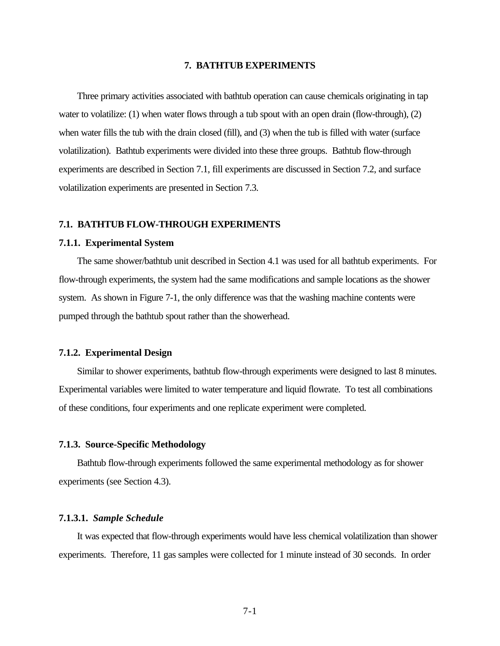#### **7. BATHTUB EXPERIMENTS**

Three primary activities associated with bathtub operation can cause chemicals originating in tap water to volatilize: (1) when water flows through a tub spout with an open drain (flow-through), (2) when water fills the tub with the drain closed (fill), and (3) when the tub is filled with water (surface volatilization). Bathtub experiments were divided into these three groups. Bathtub flow-through experiments are described in Section 7.1, fill experiments are discussed in Section 7.2, and surface volatilization experiments are presented in Section 7.3.

### **7.1. BATHTUB FLOW-THROUGH EXPERIMENTS**

#### **7.1.1. Experimental System**

The same shower/bathtub unit described in Section 4.1 was used for all bathtub experiments. For flow-through experiments, the system had the same modifications and sample locations as the shower system. As shown in Figure 7-1, the only difference was that the washing machine contents were pumped through the bathtub spout rather than the showerhead.

#### **7.1.2. Experimental Design**

Similar to shower experiments, bathtub flow-through experiments were designed to last 8 minutes. Experimental variables were limited to water temperature and liquid flowrate. To test all combinations of these conditions, four experiments and one replicate experiment were completed.

### **7.1.3. Source-Specific Methodology**

Bathtub flow-through experiments followed the same experimental methodology as for shower experiments (see Section 4.3).

#### **7.1.3.1.** *Sample Schedule*

It was expected that flow-through experiments would have less chemical volatilization than shower experiments. Therefore, 11 gas samples were collected for 1 minute instead of 30 seconds. In order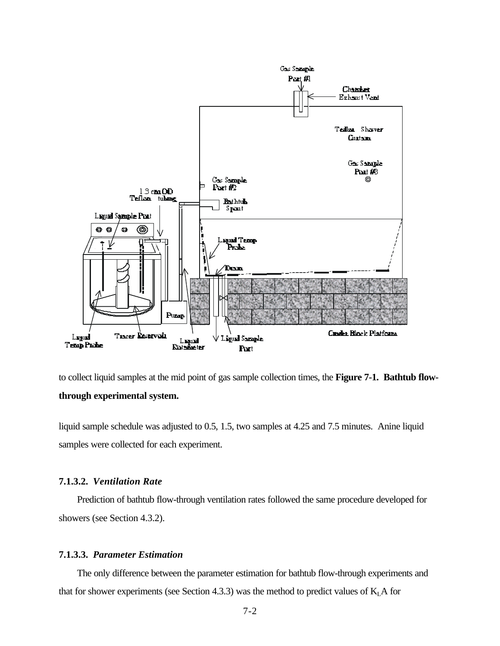

to collect liquid samples at the mid point of gas sample collection times, the **Figure 7-1. Bathtub flowthrough experimental system.**

liquid sample schedule was adjusted to 0.5, 1.5, two samples at 4.25 and 7.5 minutes. Anine liquid samples were collected for each experiment.

## **7.1.3.2.** *Ventilation Rate*

Prediction of bathtub flow-through ventilation rates followed the same procedure developed for showers (see Section 4.3.2).

# **7.1.3.3.** *Parameter Estimation*

The only difference between the parameter estimation for bathtub flow-through experiments and that for shower experiments (see Section 4.3.3) was the method to predict values of  $K<sub>L</sub>A$  for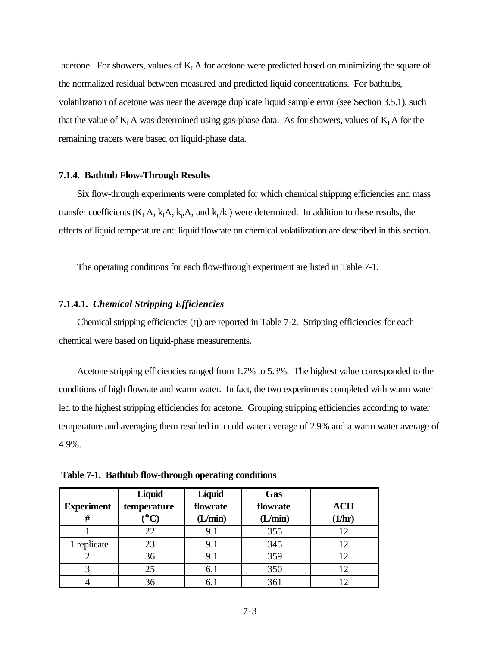acetone. For showers, values of  $K<sub>L</sub>A$  for acetone were predicted based on minimizing the square of the normalized residual between measured and predicted liquid concentrations. For bathtubs, volatilization of acetone was near the average duplicate liquid sample error (see Section 3.5.1), such that the value of  $K<sub>L</sub>A$  was determined using gas-phase data. As for showers, values of  $K<sub>L</sub>A$  for the remaining tracers were based on liquid-phase data.

#### **7.1.4. Bathtub Flow-Through Results**

Six flow-through experiments were completed for which chemical stripping efficiencies and mass transfer coefficients ( $K_L A$ ,  $k_A A$ ,  $k_g A$ , and  $k_g / k_l$ ) were determined. In addition to these results, the effects of liquid temperature and liquid flowrate on chemical volatilization are described in this section.

The operating conditions for each flow-through experiment are listed in Table 7-1.

#### **7.1.4.1.** *Chemical Stripping Efficiencies*

Chemical stripping efficiencies (η) are reported in Table 7-2. Stripping efficiencies for each chemical were based on liquid-phase measurements.

Acetone stripping efficiencies ranged from 1.7% to 5.3%. The highest value corresponded to the conditions of high flowrate and warm water. In fact, the two experiments completed with warm water led to the highest stripping efficiencies for acetone. Grouping stripping efficiencies according to water temperature and averaging them resulted in a cold water average of 2.9% and a warm water average of 4.9%.

|                   | Liquid       | Liquid               | Gas     |            |
|-------------------|--------------|----------------------|---------|------------|
| <b>Experiment</b> | temperature  | flowrate<br>flowrate |         | <b>ACH</b> |
| #                 | $\mathbf{C}$ | (L/min)              | (L/min) | (1/hr)     |
|                   | 22           | 9.1                  | 355     | 12         |
| 1 replicate       | 23           | 9.1                  | 345     |            |
|                   | 36           | 9.1                  | 359     |            |
| $\mathbf{\Omega}$ | 25           | 6.1                  | 350     |            |
|                   | 36           | 6.1                  | 361     |            |

 **Table 7-1. Bathtub flow-through operating conditions**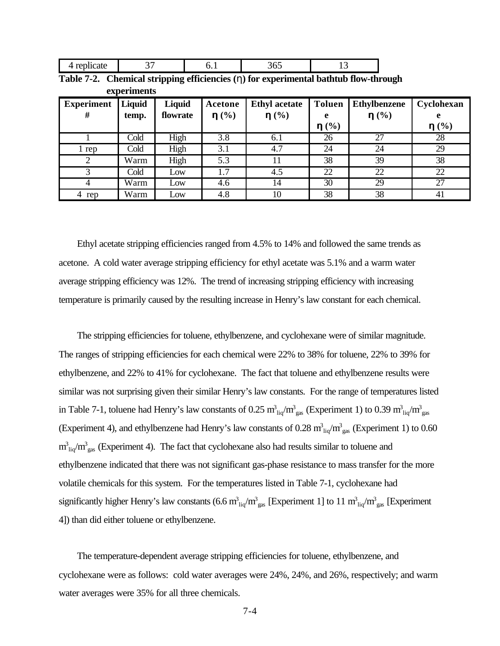| 4 replicate |  | 365 |  |
|-------------|--|-----|--|
|             |  |     |  |

| Table 7-2. Chemical stripping efficiencies $(\eta)$ for experimental bathtub flow-through |
|-------------------------------------------------------------------------------------------|
| experiments                                                                               |

| <b>Experiment</b><br># | <b>Liquid</b><br>temp. | Liquid<br>flowrate | Acetone<br>h(%) | <b>Ethyl</b> acetate<br>h(%) | <b>Toluen</b><br>e<br>h(%) | <b>Ethylbenzene</b><br>h(%) | Cyclohexan<br>h(%) |
|------------------------|------------------------|--------------------|-----------------|------------------------------|----------------------------|-----------------------------|--------------------|
|                        | Cold                   | High               | 3.8             | 6.1                          | 26                         | 27                          | 28                 |
| l rep                  | Cold                   | High               | 3.1             | 4.7                          | 24                         | 24                          | 29                 |
|                        | Warm                   | High               | 5.3             | 11                           | 38                         | 39                          | 38                 |
|                        | Cold                   | Low                | 1.7             | 4.5                          | 22                         | 22                          | 22                 |
|                        | Warm                   | Low                | 4.6             | 14                           | 30                         | 29                          | 27                 |
| 4 rep                  | Warm                   | Low                | 4.8             | 10                           | 38                         | 38                          | 41                 |

Ethyl acetate stripping efficiencies ranged from 4.5% to 14% and followed the same trends as acetone. A cold water average stripping efficiency for ethyl acetate was 5.1% and a warm water average stripping efficiency was 12%. The trend of increasing stripping efficiency with increasing temperature is primarily caused by the resulting increase in Henry's law constant for each chemical.

The stripping efficiencies for toluene, ethylbenzene, and cyclohexane were of similar magnitude. The ranges of stripping efficiencies for each chemical were 22% to 38% for toluene, 22% to 39% for ethylbenzene, and 22% to 41% for cyclohexane. The fact that toluene and ethylbenzene results were similar was not surprising given their similar Henry's law constants. For the range of temperatures listed in Table 7-1, toluene had Henry's law constants of 0.25  $m_{liq}^3/m_{gas}^3$  (Experiment 1) to 0.39  $m_{liq}^3/m_{gas}^3$ (Experiment 4), and ethylbenzene had Henry's law constants of 0.28  $m_{liq}^3/m_{gas}^3$  (Experiment 1) to 0.60  $m_{\text{liq}}^3/m_{\text{gas}}^3$  (Experiment 4). The fact that cyclohexane also had results similar to toluene and ethylbenzene indicated that there was not significant gas-phase resistance to mass transfer for the more volatile chemicals for this system. For the temperatures listed in Table 7-1, cyclohexane had significantly higher Henry's law constants (6.6  $m_{liq}^3/m_{gas}^3$  [Experiment 1] to 11  $m_{liq}^3/m_{gas}^3$  [Experiment 4]) than did either toluene or ethylbenzene.

The temperature-dependent average stripping efficiencies for toluene, ethylbenzene, and cyclohexane were as follows: cold water averages were 24%, 24%, and 26%, respectively; and warm water averages were 35% for all three chemicals.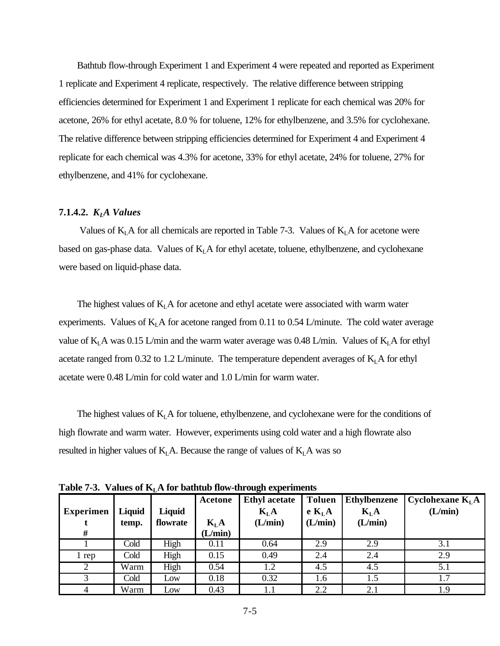Bathtub flow-through Experiment 1 and Experiment 4 were repeated and reported as Experiment 1 replicate and Experiment 4 replicate, respectively. The relative difference between stripping efficiencies determined for Experiment 1 and Experiment 1 replicate for each chemical was 20% for acetone, 26% for ethyl acetate, 8.0 % for toluene, 12% for ethylbenzene, and 3.5% for cyclohexane. The relative difference between stripping efficiencies determined for Experiment 4 and Experiment 4 replicate for each chemical was 4.3% for acetone, 33% for ethyl acetate, 24% for toluene, 27% for ethylbenzene, and 41% for cyclohexane.

### **7.1.4.2.** *KLA Values*

Values of  $K<sub>L</sub>A$  for all chemicals are reported in Table 7-3. Values of  $K<sub>L</sub>A$  for acetone were based on gas-phase data. Values of  $K<sub>L</sub>A$  for ethyl acetate, toluene, ethylbenzene, and cyclohexane were based on liquid-phase data.

The highest values of  $K<sub>L</sub>A$  for acetone and ethyl acetate were associated with warm water experiments. Values of  $K<sub>L</sub>A$  for acetone ranged from 0.11 to 0.54 L/minute. The cold water average value of  $K<sub>L</sub>A$  was 0.15 L/min and the warm water average was 0.48 L/min. Values of  $K<sub>L</sub>A$  for ethyl acetate ranged from 0.32 to 1.2 L/minute. The temperature dependent averages of  $K<sub>L</sub>A$  for ethyl acetate were 0.48 L/min for cold water and 1.0 L/min for warm water.

The highest values of  $K<sub>L</sub>$  A for toluene, ethylbenzene, and cyclohexane were for the conditions of high flowrate and warm water. However, experiments using cold water and a high flowrate also resulted in higher values of  $K<sub>L</sub>A$ . Because the range of values of  $K<sub>L</sub>A$  was so

**Table 7-3.** Values of  $K<sub>L</sub>A$  for bathtub flow-through experiments

|                  |        |          | Acetone  | <b>Ethyl</b> acetate | <b>Toluen</b>      | <b>Ethylbenzene</b> | Cyclohexane $K_{I}A$ |
|------------------|--------|----------|----------|----------------------|--------------------|---------------------|----------------------|
| <b>Experimen</b> | Liquid | Liquid   |          | $K_{L}A$             | e K <sub>L</sub> A | K <sub>L</sub> A    | (L/min)              |
|                  | temp.  | flowrate | $K_{L}A$ | (L/min)              | (L/min)            | (L/min)             |                      |
| #                |        |          | (L/min)  |                      |                    |                     |                      |
|                  | Cold   | High     | 0.11     | 0.64                 | 2.9                | 2.9                 | 3.1                  |
| l rep            | Cold   | High     | 0.15     | 0.49                 | 2.4                | 2.4                 | 2.9                  |
| 2                | Warm   | High     | 0.54     | 1.2                  | 4.5                | 4.5                 | 5.1                  |
| 3                | Cold   | Low      | 0.18     | 0.32                 | 1.6                | 1.5                 | 1.7                  |
|                  | Warm   | Low      | 0.43     |                      | 2.2                | 2.1                 | 1.9                  |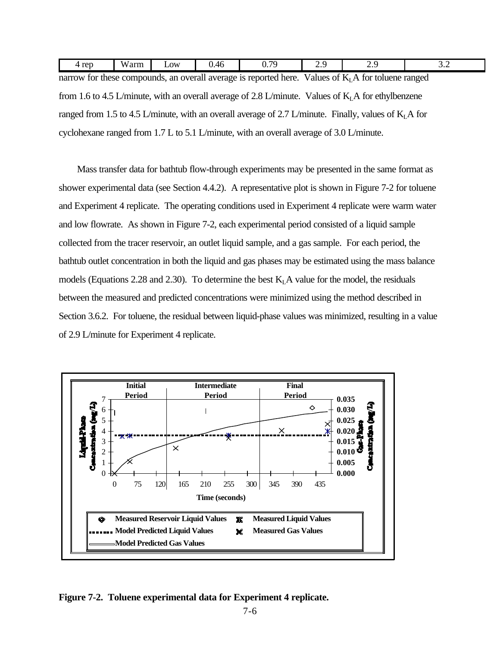| 4 rep                                                                                                    | Warm | Low | 0.46 | 0.79 | 2.9 | 2.9 | 3.2 |  |
|----------------------------------------------------------------------------------------------------------|------|-----|------|------|-----|-----|-----|--|
| narrow for these compounds, an overall average is reported here. Values of $KI$ A for toluene ranged     |      |     |      |      |     |     |     |  |
| from 1.6 to 4.5 L/minute, with an overall average of 2.8 L/minute. Values of $KI$ A for ethylbenzene     |      |     |      |      |     |     |     |  |
| ranged from 1.5 to 4.5 L/minute, with an overall average of 2.7 L/minute. Finally, values of $K_I A$ for |      |     |      |      |     |     |     |  |
| cyclohexane ranged from 1.7 L to 5.1 L/minute, with an overall average of 3.0 L/minute.                  |      |     |      |      |     |     |     |  |

Mass transfer data for bathtub flow-through experiments may be presented in the same format as shower experimental data (see Section 4.4.2). A representative plot is shown in Figure 7-2 for toluene and Experiment 4 replicate. The operating conditions used in Experiment 4 replicate were warm water and low flowrate. As shown in Figure 7-2, each experimental period consisted of a liquid sample collected from the tracer reservoir, an outlet liquid sample, and a gas sample. For each period, the bathtub outlet concentration in both the liquid and gas phases may be estimated using the mass balance models (Equations 2.28 and 2.30). To determine the best  $K<sub>L</sub>A$  value for the model, the residuals between the measured and predicted concentrations were minimized using the method described in Section 3.6.2. For toluene, the residual between liquid-phase values was minimized, resulting in a value of 2.9 L/minute for Experiment 4 replicate.



**Figure 7-2. Toluene experimental data for Experiment 4 replicate.**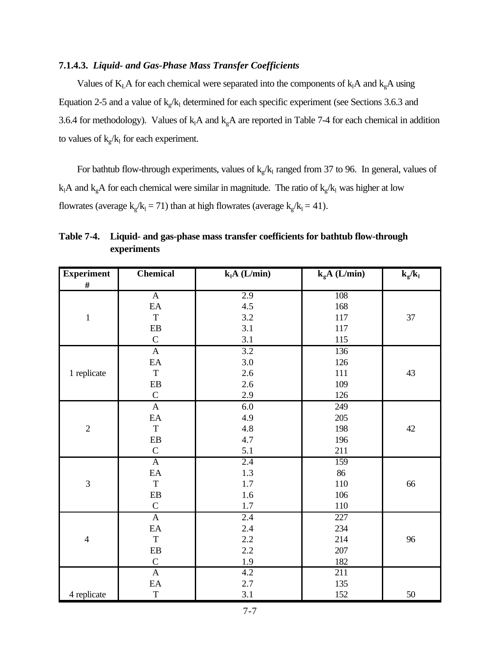### **7.1.4.3.** *Liquid- and Gas-Phase Mass Transfer Coefficients*

Values of  $K<sub>L</sub>A$  for each chemical were separated into the components of  $k<sub>l</sub>A$  and  $k<sub>g</sub>A$  using Equation 2-5 and a value of  $k_g/k_1$  determined for each specific experiment (see Sections 3.6.3 and 3.6.4 for methodology). Values of  $k_1A$  and  $k_gA$  are reported in Table 7-4 for each chemical in addition to values of  $k_g/k_1$  for each experiment.

For bathtub flow-through experiments, values of  $k_g/k_l$  ranged from 37 to 96. In general, values of  $k_1A$  and  $k_gA$  for each chemical were similar in magnitude. The ratio of  $k_g/k_1$  was higher at low flowrates (average  $k_g/k_1 = 71$ ) than at high flowrates (average  $k_g/k_1 = 41$ ).

| <b>Experiment</b> | Chemical                   | $k_1A$ (L/min) | $k_{g}A$ (L/min) | $k_g/k_l$ |
|-------------------|----------------------------|----------------|------------------|-----------|
| $\#$              |                            |                |                  |           |
|                   | $\overline{A}$             | 2.9            | 108              |           |
|                   | $\mathop{\rm EA}\nolimits$ | 4.5            | 168              |           |
| $\mathbf 1$       | $\mathbf T$                | 3.2            | 117              | 37        |
|                   | ${\rm EB}$                 | 3.1            | 117              |           |
|                   | $\mathbf C$                | 3.1            | 115              |           |
|                   | $\boldsymbol{\mathsf{A}}$  | 3.2            | 136              |           |
|                   | $\mathbf{E}\mathbf{A}$     | 3.0            | 126              |           |
| 1 replicate       | $\mathbf T$                | 2.6            | 111              | 43        |
|                   | $\rm EB$                   | 2.6            | 109              |           |
|                   | $\mathsf C$                | 2.9            | 126              |           |
|                   | $\mathbf{A}$               | 6.0            | 249              |           |
|                   | $\mathbf{E}\mathbf{A}$     | 4.9            | 205              |           |
| $\overline{2}$    | $\mathbf T$                | 4.8            | 198              | 42        |
|                   | ${\rm EB}$                 | 4.7            | 196              |           |
|                   | $\mathbf C$                | 5.1            | 211              |           |
|                   | $\overline{A}$             | 2.4            | 159              |           |
|                   | $\mathbf{E}\mathbf{A}$     | 1.3            | 86               |           |
| $\overline{3}$    | $\mathbf T$                | 1.7            | 110              | 66        |
|                   | ${\bf EB}$                 | 1.6            | 106              |           |
|                   | ${\bf C}$                  | 1.7            | $110\,$          |           |
|                   | $\mathbf{A}$               | 2.4            | 227              |           |
|                   | $\mathbf{E}\mathbf{A}$     | 2.4            | 234              |           |
| $\overline{4}$    | $\mathbf T$                | 2.2            | 214              | 96        |
|                   | ${\rm EB}$                 | 2.2            | 207              |           |
|                   | $\mathsf C$                | 1.9            | 182              |           |
|                   | $\overline{A}$             | 4.2            | 211              |           |
|                   | $\mathbf{E}\mathbf{A}$     | 2.7            | 135              |           |
| 4 replicate       | $\mathbf T$                | 3.1            | 152              | 50        |

**Table 7-4. Liquid- and gas-phase mass transfer coefficients for bathtub flow-through experiments**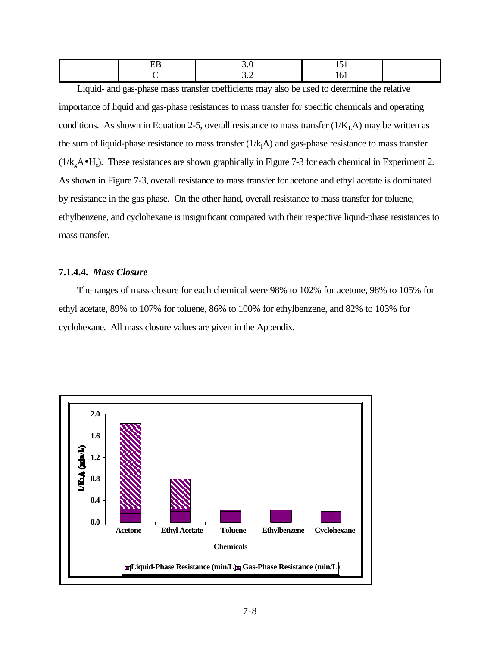|  |      | ___    |  |
|--|------|--------|--|
|  | $ -$ | $\sim$ |  |

Liquid- and gas-phase mass transfer coefficients may also be used to determine the relative importance of liquid and gas-phase resistances to mass transfer for specific chemicals and operating conditions. As shown in Equation 2-5, overall resistance to mass transfer  $(1/K<sub>L</sub>A)$  may be written as the sum of liquid-phase resistance to mass transfer  $(1/k<sub>i</sub>A)$  and gas-phase resistance to mass transfer  $(1/k<sub>g</sub>A<sup>•</sup>H<sub>c</sub>)$ . These resistances are shown graphically in Figure 7-3 for each chemical in Experiment 2. As shown in Figure 7-3, overall resistance to mass transfer for acetone and ethyl acetate is dominated by resistance in the gas phase. On the other hand, overall resistance to mass transfer for toluene, ethylbenzene, and cyclohexane is insignificant compared with their respective liquid-phase resistances to mass transfer.

## **7.1.4.4.** *Mass Closure*

The ranges of mass closure for each chemical were 98% to 102% for acetone, 98% to 105% for ethyl acetate, 89% to 107% for toluene, 86% to 100% for ethylbenzene, and 82% to 103% for cyclohexane. All mass closure values are given in the Appendix.

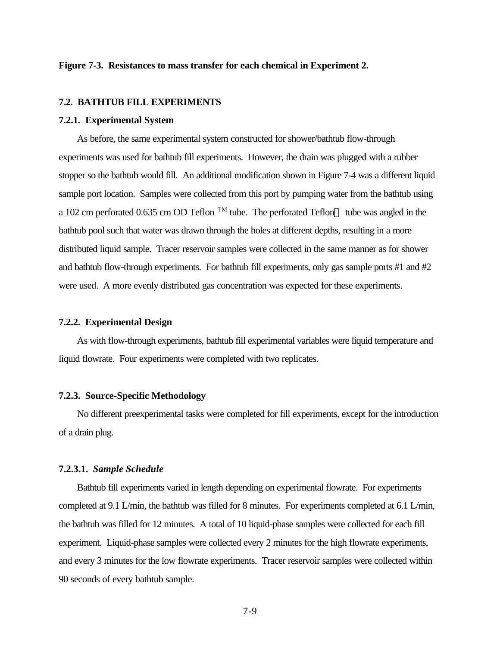### **Figure 7-3. Resistances to mass transfer for each chemical in Experiment 2.**

#### **7.2. BATHTUB FILL EXPERIMENTS**

#### **7.2.1. Experimental System**

As before, the same experimental system constructed for shower/bathtub flow-through experiments was used for bathtub fill experiments. However, the drain was plugged with a rubber stopper so the bathtub would fill. An additional modification shown in Figure 7-4 was a different liquid sample port location. Samples were collected from this port by pumping water from the bathtub using a 102 cm perforated 0.635 cm OD Teflon  $\rm{TM}$  tube. The perforated Teflon  $\rm{TM}$  tube was angled in the bathtub pool such that water was drawn through the holes at different depths, resulting in a more distributed liquid sample. Tracer reservoir samples were collected in the same manner as for shower and bathtub flow-through experiments. For bathtub fill experiments, only gas sample ports #1 and #2 were used. A more evenly distributed gas concentration was expected for these experiments.

### **7.2.2. Experimental Design**

As with flow-through experiments, bathtub fill experimental variables were liquid temperature and liquid flowrate. Four experiments were completed with two replicates.

## **7.2.3. Source-Specific Methodology**

No different preexperimental tasks were completed for fill experiments, except for the introduction of a drain plug.

#### **7.2.3.1.** *Sample Schedule*

Bathtub fill experiments varied in length depending on experimental flowrate. For experiments completed at 9.1 L/min, the bathtub was filled for 8 minutes. For experiments completed at 6.1 L/min, the bathtub was filled for 12 minutes. A total of 10 liquid-phase samples were collected for each fill experiment. Liquid-phase samples were collected every 2 minutes for the high flowrate experiments, and every 3 minutes for the low flowrate experiments. Tracer reservoir samples were collected within 90 seconds of every bathtub sample.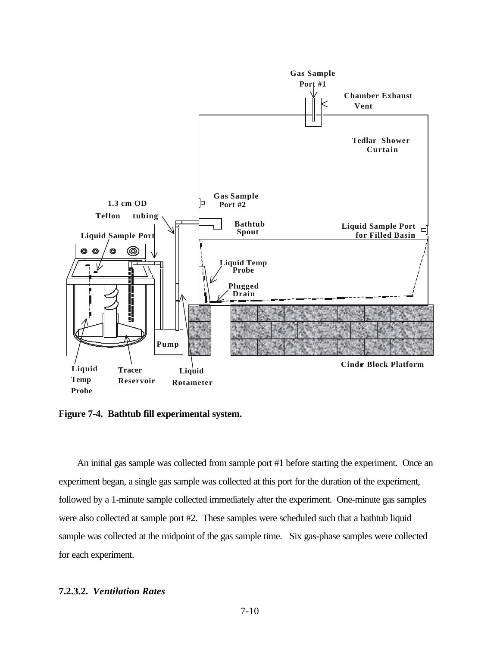

**Figure 7-4. Bathtub fill experimental system.**

An initial gas sample was collected from sample port #1 before starting the experiment. Once an experiment began, a single gas sample was collected at this port for the duration of the experiment, followed by a 1-minute sample collected immediately after the experiment. One-minute gas samples were also collected at sample port #2. These samples were scheduled such that a bathtub liquid sample was collected at the midpoint of the gas sample time. Six gas-phase samples were collected for each experiment.

## **7.2.3.2.** *Ventilation Rates*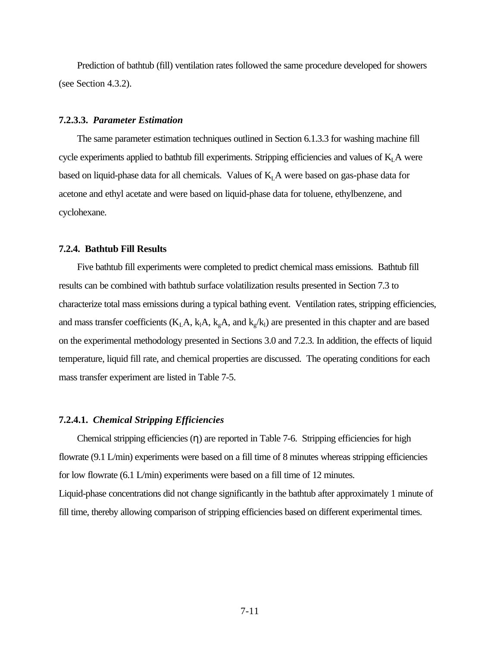Prediction of bathtub (fill) ventilation rates followed the same procedure developed for showers (see Section 4.3.2).

### **7.2.3.3.** *Parameter Estimation*

The same parameter estimation techniques outlined in Section 6.1.3.3 for washing machine fill cycle experiments applied to bathtub fill experiments. Stripping efficiencies and values of  $K<sub>L</sub>A$  were based on liquid-phase data for all chemicals. Values of  $K<sub>L</sub>A$  were based on gas-phase data for acetone and ethyl acetate and were based on liquid-phase data for toluene, ethylbenzene, and cyclohexane.

### **7.2.4. Bathtub Fill Results**

Five bathtub fill experiments were completed to predict chemical mass emissions. Bathtub fill results can be combined with bathtub surface volatilization results presented in Section 7.3 to characterize total mass emissions during a typical bathing event. Ventilation rates, stripping efficiencies, and mass transfer coefficients ( $K<sub>L</sub>A$ ,  $k<sub>g</sub>A$ , and  $k<sub>g</sub>/k<sub>l</sub>$ ) are presented in this chapter and are based on the experimental methodology presented in Sections 3.0 and 7.2.3. In addition, the effects of liquid temperature, liquid fill rate, and chemical properties are discussed. The operating conditions for each mass transfer experiment are listed in Table 7-5.

#### **7.2.4.1.** *Chemical Stripping Efficiencies*

Chemical stripping efficiencies  $(\eta)$  are reported in Table 7-6. Stripping efficiencies for high flowrate (9.1 L/min) experiments were based on a fill time of 8 minutes whereas stripping efficiencies for low flowrate (6.1 L/min) experiments were based on a fill time of 12 minutes. Liquid-phase concentrations did not change significantly in the bathtub after approximately 1 minute of fill time, thereby allowing comparison of stripping efficiencies based on different experimental times.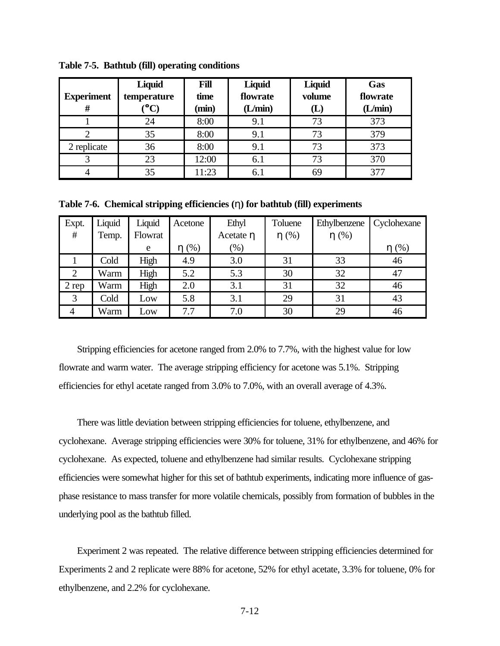|                   | Liquid       | Fill  | Liquid   | Liquid                       | Gas      |
|-------------------|--------------|-------|----------|------------------------------|----------|
| <b>Experiment</b> | temperature  | time  | flowrate | volume                       | flowrate |
| Ħ                 | $\mathbf{C}$ | (min) | (L/min)  | $\lfloor \mathbf{L} \rfloor$ | (L/min)  |
|                   | 24           | 8:00  | 9.1      | 73                           | 373      |
|                   | 35           | 8:00  | 9.1      | 73                           | 379      |
| 2 replicate       | 36           | 8:00  | 9.1      | 73                           | 373      |
| 3                 | 23           | 12:00 | 6.1      | 73                           | 370      |
|                   | 35           | 11:23 | 6.1      | 69                           | 377      |

**Table 7-5. Bathtub (fill) operating conditions**

**Table 7-6. Chemical stripping efficiencies (**η**) for bathtub (fill) experiments**

| Expt.          | Liquid | Liquid  | Acetone    | Ethyl     | Toluene    | Ethylbenzene | Cyclohexane |
|----------------|--------|---------|------------|-----------|------------|--------------|-------------|
| #              | Temp.  | Flowrat |            | Acetate η | $\eta$ (%) | $\eta$ (%)   |             |
|                |        | e       | $\eta$ (%) | $(\%)$    |            |              | (% )<br>n   |
|                | Cold   | High    | 4.9        | 3.0       | 31         | 33           | 46          |
| $\overline{2}$ | Warm   | High    | 5.2        | 5.3       | 30         | 32           | 47          |
| 2 rep          | Warm   | High    | 2.0        | 3.1       | 31         | 32           | 46          |
| 3              | Cold   | Low     | 5.8        | 3.1       | 29         | 31           | 43          |
| $\overline{4}$ | Warm   | Low     | 7.7        | 7.0       | 30         | 29           | 46          |

Stripping efficiencies for acetone ranged from 2.0% to 7.7%, with the highest value for low flowrate and warm water. The average stripping efficiency for acetone was 5.1%. Stripping efficiencies for ethyl acetate ranged from 3.0% to 7.0%, with an overall average of 4.3%.

There was little deviation between stripping efficiencies for toluene, ethylbenzene, and cyclohexane. Average stripping efficiencies were 30% for toluene, 31% for ethylbenzene, and 46% for cyclohexane. As expected, toluene and ethylbenzene had similar results. Cyclohexane stripping efficiencies were somewhat higher for this set of bathtub experiments, indicating more influence of gasphase resistance to mass transfer for more volatile chemicals, possibly from formation of bubbles in the underlying pool as the bathtub filled.

Experiment 2 was repeated. The relative difference between stripping efficiencies determined for Experiments 2 and 2 replicate were 88% for acetone, 52% for ethyl acetate, 3.3% for toluene, 0% for ethylbenzene, and 2.2% for cyclohexane.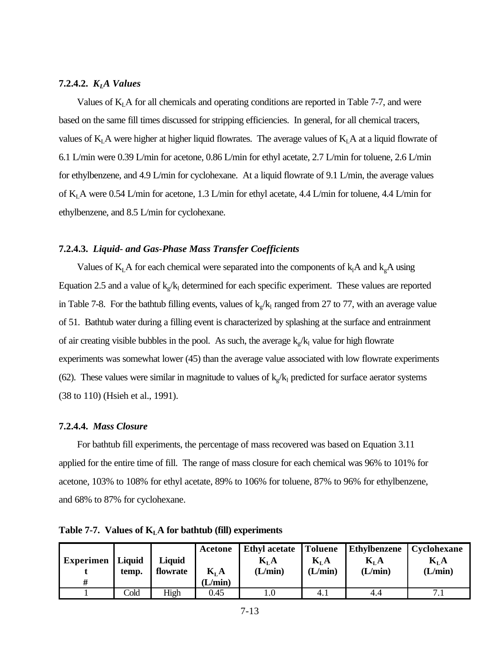#### **7.2.4.2.** *KLA Values*

Values of  $K<sub>L</sub>A$  for all chemicals and operating conditions are reported in Table 7-7, and were based on the same fill times discussed for stripping efficiencies. In general, for all chemical tracers, values of  $K<sub>L</sub>A$  were higher at higher liquid flowrates. The average values of  $K<sub>L</sub>A$  at a liquid flowrate of 6.1 L/min were 0.39 L/min for acetone, 0.86 L/min for ethyl acetate, 2.7 L/min for toluene, 2.6 L/min for ethylbenzene, and 4.9 L/min for cyclohexane. At a liquid flowrate of 9.1 L/min, the average values of KLA were 0.54 L/min for acetone, 1.3 L/min for ethyl acetate, 4.4 L/min for toluene, 4.4 L/min for ethylbenzene, and 8.5 L/min for cyclohexane.

#### **7.2.4.3.** *Liquid- and Gas-Phase Mass Transfer Coefficients*

Values of  $K<sub>L</sub>A$  for each chemical were separated into the components of  $k<sub>1</sub>A$  and  $k<sub>g</sub>A$  using Equation 2.5 and a value of  $k_g/k_1$  determined for each specific experiment. These values are reported in Table 7-8. For the bathtub filling events, values of  $k_g/k_l$  ranged from 27 to 77, with an average value of 51. Bathtub water during a filling event is characterized by splashing at the surface and entrainment of air creating visible bubbles in the pool. As such, the average  $k_g/k_l$  value for high flowrate experiments was somewhat lower (45) than the average value associated with low flowrate experiments (62). These values were similar in magnitude to values of  $k_g/k_l$  predicted for surface aerator systems (38 to 110) (Hsieh et al., 1991).

#### **7.2.4.4.** *Mass Closure*

For bathtub fill experiments, the percentage of mass recovered was based on Equation 3.11 applied for the entire time of fill. The range of mass closure for each chemical was 96% to 101% for acetone, 103% to 108% for ethyl acetate, 89% to 106% for toluene, 87% to 96% for ethylbenzene, and 68% to 87% for cyclohexane.

**Table 7-7. Values of KLA for bathtub (fill) experiments**

| <b>Experimen</b> | Liquid<br>temp. | Liquid<br>flowrate | Acetone<br>$K_{I}A$ | Ethyl acetate Toluene<br>$\mathbf{K}_{\mathbf{L}}\mathbf{A}$<br>(L/min) | $K_{L}A$<br>(L/min) | <b>Ethylbenzene</b><br>$K_{L}A$<br>(L/min) | Cyclohexane<br>$K_{L}A$<br>(L/min) |
|------------------|-----------------|--------------------|---------------------|-------------------------------------------------------------------------|---------------------|--------------------------------------------|------------------------------------|
| #                |                 |                    | (L/min)             |                                                                         |                     |                                            |                                    |
|                  | Cold            | High               | 0.45                |                                                                         | 4.1                 | 4.4                                        |                                    |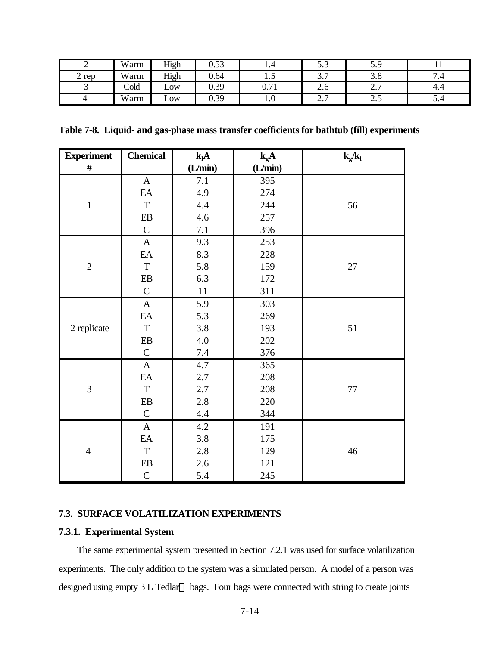| ∽     | Warm | High | 0.53 | 1.4                           | $\sim$ $\sim$<br>ر.ر           | 5.9                    |           |
|-------|------|------|------|-------------------------------|--------------------------------|------------------------|-----------|
| 2 rep | Warm | High | 0.64 | $\cdot\cdot$                  | $\sim$ $\sim$<br>J.I           | J.O                    | −<br>۰. ۱ |
|       | Cold | LOW  | 0.39 | $\sim$ 71<br>V. / 1           | 2.0                            | $\sim$ $\sim$<br>، ، ۱ | 4.4       |
|       | Warm | LOW  | 0.39 | $\mathbf{1} \cdot \mathbf{0}$ | $\overline{ }$<br>⌒<br><u></u> | ر                      | J.4       |

**Table 7-8. Liquid- and gas-phase mass transfer coefficients for bathtub (fill) experiments**

| <b>Experiment</b> | <b>Chemical</b> | $k_lA$  | $k_{g}A$ | $k_{g}/k_{l}$ |
|-------------------|-----------------|---------|----------|---------------|
| $\#$              |                 | (L/min) | (L/min)  |               |
|                   | $\mathbf{A}$    | 7.1     | 395      |               |
|                   | EA              | 4.9     | 274      |               |
| $\mathbf 1$       | $\mathbf T$     | 4.4     | 244      | 56            |
|                   | EB              | 4.6     | 257      |               |
|                   | $\mathbf C$     | 7.1     | 396      |               |
|                   | $\mathbf{A}$    | 9.3     | 253      |               |
|                   | EA              | 8.3     | 228      |               |
| $\sqrt{2}$        | $\mathbf T$     | 5.8     | 159      | 27            |
|                   | EB              | 6.3     | 172      |               |
|                   | $\mathbf C$     | 11      | 311      |               |
|                   | $\mathbf{A}$    | 5.9     | 303      |               |
|                   | EA              | 5.3     | 269      |               |
| 2 replicate       | $\mathbf T$     | 3.8     | 193      | 51            |
|                   | $\rm EB$        | 4.0     | 202      |               |
|                   | $\mathsf{C}$    | 7.4     | 376      |               |
|                   | $\mathbf{A}$    | 4.7     | 365      |               |
|                   | EA              | 2.7     | 208      |               |
| 3                 | $\rm T$         | 2.7     | 208      | $77\,$        |
|                   | $\rm EB$        | 2.8     | 220      |               |
|                   | $\mathbf C$     | 4.4     | 344      |               |
| $\overline{4}$    | $\mathbf{A}$    | 4.2     | 191      |               |
|                   | EA              | 3.8     | 175      |               |
|                   | $\mathbf T$     | 2.8     | 129      | 46            |
|                   | EB              | 2.6     | 121      |               |
|                   | $\mathsf{C}$    | 5.4     | 245      |               |

## **7.3. SURFACE VOLATILIZATION EXPERIMENTS**

### **7.3.1. Experimental System**

The same experimental system presented in Section 7.2.1 was used for surface volatilization experiments. The only addition to the system was a simulated person. A model of a person was designed using empty  $3 L$  Tedlar<sup>TM</sup> bags. Four bags were connected with string to create joints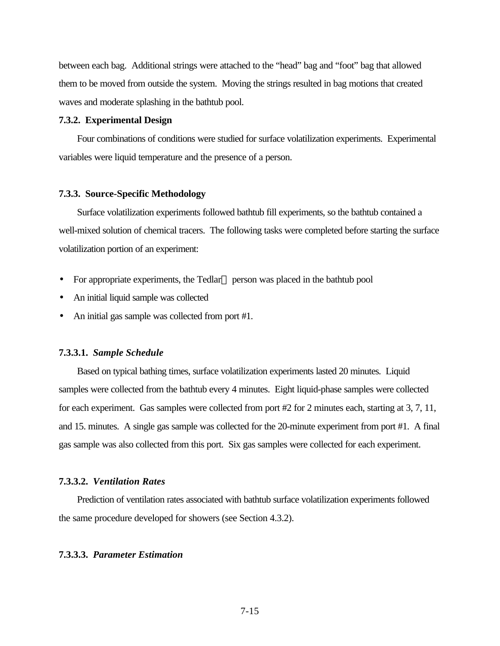between each bag. Additional strings were attached to the "head" bag and "foot" bag that allowed them to be moved from outside the system. Moving the strings resulted in bag motions that created waves and moderate splashing in the bathtub pool.

### **7.3.2. Experimental Design**

Four combinations of conditions were studied for surface volatilization experiments. Experimental variables were liquid temperature and the presence of a person.

#### **7.3.3. Source-Specific Methodology**

Surface volatilization experiments followed bathtub fill experiments, so the bathtub contained a well-mixed solution of chemical tracers. The following tasks were completed before starting the surface volatilization portion of an experiment:

- For appropriate experiments, the Tedlar<sup> $TM$ </sup> person was placed in the bathtub pool
- An initial liquid sample was collected
- An initial gas sample was collected from port #1.

#### **7.3.3.1.** *Sample Schedule*

Based on typical bathing times, surface volatilization experiments lasted 20 minutes. Liquid samples were collected from the bathtub every 4 minutes. Eight liquid-phase samples were collected for each experiment. Gas samples were collected from port #2 for 2 minutes each, starting at 3, 7, 11, and 15. minutes. A single gas sample was collected for the 20-minute experiment from port #1. A final gas sample was also collected from this port. Six gas samples were collected for each experiment.

### **7.3.3.2.** *Ventilation Rates*

Prediction of ventilation rates associated with bathtub surface volatilization experiments followed the same procedure developed for showers (see Section 4.3.2).

### **7.3.3.3.** *Parameter Estimation*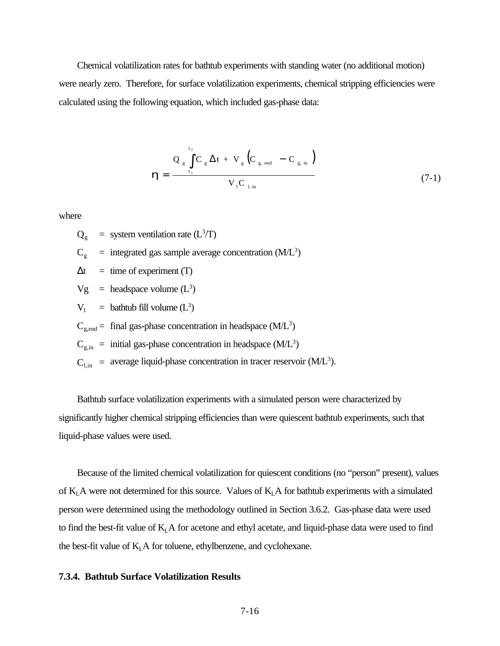Chemical volatilization rates for bathtub experiments with standing water (no additional motion) were nearly zero. Therefore, for surface volatilization experiments, chemical stripping efficiencies were calculated using the following equation, which included gas-phase data:

$$
\mathbf{h} = \frac{Q_{g} \int_{t_1}^{t_2} C_{g} \Delta t + V_{g} (C_{g, end} - C_{g, in})}{V_{1} C_{1 in}}
$$
(7-1)

where

 $Q_g$  = system ventilation rate (L<sup>3</sup>/T)

$$
C_g
$$
 = integrated gas sample average concentration (M/L<sup>3</sup>)

 $\Delta t$  = time of experiment (T)

 $Vg$  = headspace volume  $(L^3)$ 

 $V_1$  = bathtub fill volume  $(L^3)$ 

 $C_{\text{g,end}}$  = final gas-phase concentration in headspace (M/L<sup>3</sup>)

 $C_{g,in}$  = initial gas-phase concentration in headspace (M/L<sup>3</sup>)

 $C_{l, in}$  = average liquid-phase concentration in tracer reservoir (M/L<sup>3</sup>).

Bathtub surface volatilization experiments with a simulated person were characterized by significantly higher chemical stripping efficiencies than were quiescent bathtub experiments, such that liquid-phase values were used.

Because of the limited chemical volatilization for quiescent conditions (no "person" present), values of  $K<sub>L</sub>A$  were not determined for this source. Values of  $K<sub>L</sub>A$  for bathtub experiments with a simulated person were determined using the methodology outlined in Section 3.6.2. Gas-phase data were used to find the best-fit value of  $K<sub>L</sub>A$  for acetone and ethyl acetate, and liquid-phase data were used to find the best-fit value of  $K<sub>L</sub>A$  for toluene, ethylbenzene, and cyclohexane.

#### **7.3.4. Bathtub Surface Volatilization Results**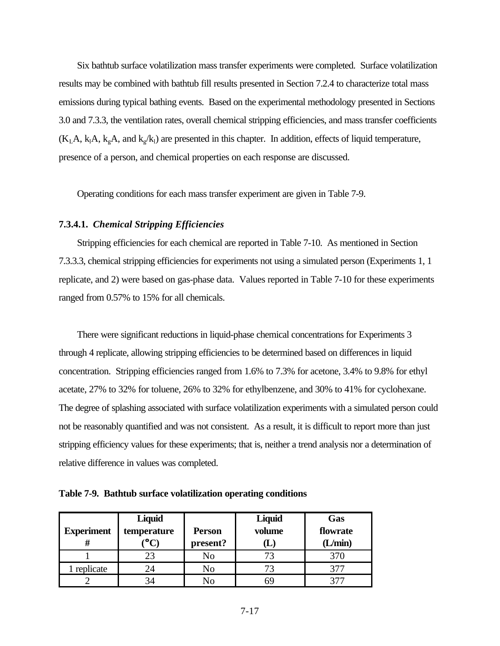Six bathtub surface volatilization mass transfer experiments were completed. Surface volatilization results may be combined with bathtub fill results presented in Section 7.2.4 to characterize total mass emissions during typical bathing events. Based on the experimental methodology presented in Sections 3.0 and 7.3.3, the ventilation rates, overall chemical stripping efficiencies, and mass transfer coefficients  $(K_LA, k_A, k_gA,$  and  $k_g/k_l$ ) are presented in this chapter. In addition, effects of liquid temperature, presence of a person, and chemical properties on each response are discussed.

Operating conditions for each mass transfer experiment are given in Table 7-9.

## **7.3.4.1.** *Chemical Stripping Efficiencies*

Stripping efficiencies for each chemical are reported in Table 7-10. As mentioned in Section 7.3.3.3, chemical stripping efficiencies for experiments not using a simulated person (Experiments 1, 1 replicate, and 2) were based on gas-phase data. Values reported in Table 7-10 for these experiments ranged from 0.57% to 15% for all chemicals.

There were significant reductions in liquid-phase chemical concentrations for Experiments 3 through 4 replicate, allowing stripping efficiencies to be determined based on differences in liquid concentration. Stripping efficiencies ranged from 1.6% to 7.3% for acetone, 3.4% to 9.8% for ethyl acetate, 27% to 32% for toluene, 26% to 32% for ethylbenzene, and 30% to 41% for cyclohexane. The degree of splashing associated with surface volatilization experiments with a simulated person could not be reasonably quantified and was not consistent. As a result, it is difficult to report more than just stripping efficiency values for these experiments; that is, neither a trend analysis nor a determination of relative difference in values was completed.

**Table 7-9. Bathtub surface volatilization operating conditions**

| <b>Experiment</b> | Liquid<br>temperature | <b>Person</b><br>present? | Liquid<br>volume             | Gas<br>flowrate<br>(L/min) |
|-------------------|-----------------------|---------------------------|------------------------------|----------------------------|
|                   |                       |                           | $\lfloor \mathbf{L} \rfloor$ |                            |
|                   | 23                    | No                        | 73                           | 370                        |
| l replicate       | 24                    | No.                       | 73                           | 377                        |
|                   |                       | Ν۵                        | hЧ                           | າາ                         |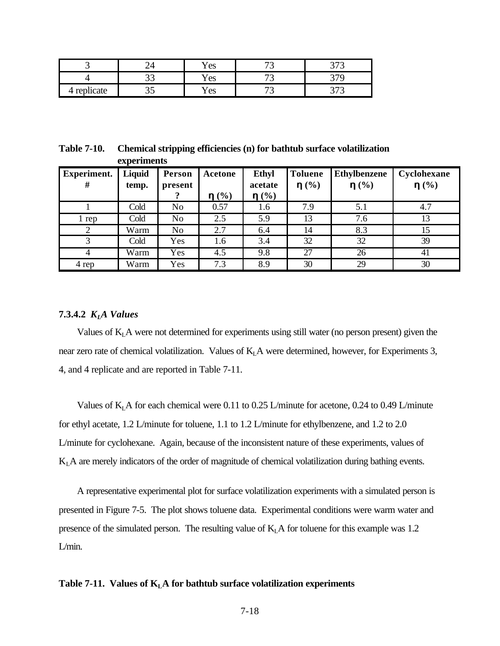|                      |     | Yes           | $\overline{\phantom{a}}$<br>$\overline{\phantom{0}}$ | $\sim$ $\sim$<br>ັ |
|----------------------|-----|---------------|------------------------------------------------------|--------------------|
|                      | ت ب | ∕ ⊖ ⊘<br>i və | $\overline{\phantom{a}}$                             | $\sim$ $\sim$      |
| /licate<br>ren.<br>ᅶ | ັ   | Y es          | $\overline{\phantom{a}}$<br>$\overline{\phantom{0}}$ | $\sim$ $\sim$<br>ັ |

**Table 7-10. Chemical stripping efficiencies (n) for bathtub surface volatilization experiments**

| <b>Experiment.</b><br># | Liquid<br>temp. | Person<br>present | Acetone<br>h(%) | <b>Ethyl</b><br>acetate<br>h(%) | <b>Toluene</b><br>$\mathbf{h}(\%)$ | <b>Ethylbenzene</b><br>h(%) | Cyclohexane<br>$\mathbf{h}(\%)$ |
|-------------------------|-----------------|-------------------|-----------------|---------------------------------|------------------------------------|-----------------------------|---------------------------------|
|                         | Cold            | No                | 0.57            | 1.6                             | 7.9                                | 5.1                         | 4.7                             |
| l rep                   | Cold            | N <sub>o</sub>    | 2.5             | 5.9                             | 13                                 | 7.6                         | 13                              |
|                         | Warm            | N <sub>o</sub>    | 2.7             | 6.4                             | 14                                 | 8.3                         | 15                              |
| 3                       | Cold            | Yes               | 1.6             | 3.4                             | 32                                 | 32                          | 39                              |
|                         | Warm            | Yes               | 4.5             | 9.8                             | 27                                 | 26                          | 41                              |
| 4 rep                   | Warm            | Yes               | 7.3             | 8.9                             | 30                                 | 29                          | 30                              |

### **7.3.4.2** *KLA Values*

Values of  $K<sub>L</sub>A$  were not determined for experiments using still water (no person present) given the near zero rate of chemical volatilization. Values of K<sub>L</sub>A were determined, however, for Experiments 3, 4, and 4 replicate and are reported in Table 7-11.

Values of  $K<sub>L</sub>A$  for each chemical were 0.11 to 0.25 L/minute for acetone, 0.24 to 0.49 L/minute for ethyl acetate, 1.2 L/minute for toluene, 1.1 to 1.2 L/minute for ethylbenzene, and 1.2 to 2.0 L/minute for cyclohexane. Again, because of the inconsistent nature of these experiments, values of KLA are merely indicators of the order of magnitude of chemical volatilization during bathing events.

A representative experimental plot for surface volatilization experiments with a simulated person is presented in Figure 7-5. The plot shows toluene data. Experimental conditions were warm water and presence of the simulated person. The resulting value of  $K<sub>L</sub>A$  for toluene for this example was 1.2 L/min.

### Table 7-11. Values of  $K<sub>L</sub>A$  for bathtub surface volatilization experiments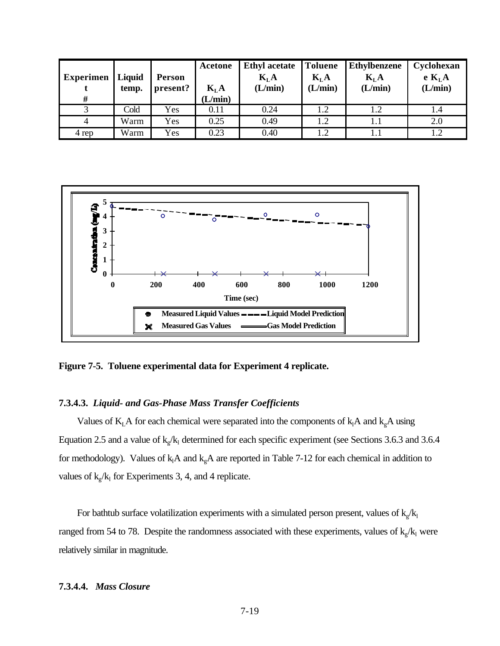| <b>Experimen</b> | Liquid<br>temp. | <b>Person</b><br>present? | Acetone<br>$K_{L}A$ | <b>Ethyl acetate</b><br>$K_{L}A$<br>(L/min) | Toluene<br>$K_{L}A$<br>(L/min) | <b>Ethylbenzene</b><br>$K_{L}A$<br>(L/min) | Cyclohexan<br>e K <sub>L</sub> A<br>(L/min) |
|------------------|-----------------|---------------------------|---------------------|---------------------------------------------|--------------------------------|--------------------------------------------|---------------------------------------------|
| #                |                 |                           | (L/min)             |                                             |                                |                                            |                                             |
|                  | Cold            | Yes                       | 0.11                | 0.24                                        | 1.2                            | 1.2                                        |                                             |
| 4                | Warm            | Yes                       | 0.25                | 0.49                                        | 1.2                            | 1.1                                        | 2.0                                         |
| 4 rep            | Warm            | Yes                       | 0.23                | 0.40                                        | 1.2                            | 1.1                                        | 12                                          |



**Figure 7-5. Toluene experimental data for Experiment 4 replicate.**

## **7.3.4.3.** *Liquid- and Gas-Phase Mass Transfer Coefficients*

Values of  $K<sub>L</sub>A$  for each chemical were separated into the components of  $k<sub>l</sub>A$  and  $k<sub>g</sub>A$  using Equation 2.5 and a value of  $k_g/k_1$  determined for each specific experiment (see Sections 3.6.3 and 3.6.4 for methodology). Values of  $k_1A$  and  $k_gA$  are reported in Table 7-12 for each chemical in addition to values of  $k_g/k_1$  for Experiments 3, 4, and 4 replicate.

For bathtub surface volatilization experiments with a simulated person present, values of  $k_g / k_l$ ranged from 54 to 78. Despite the randomness associated with these experiments, values of  $k_g/k_l$  were relatively similar in magnitude.

### **7.3.4.4.** *Mass Closure*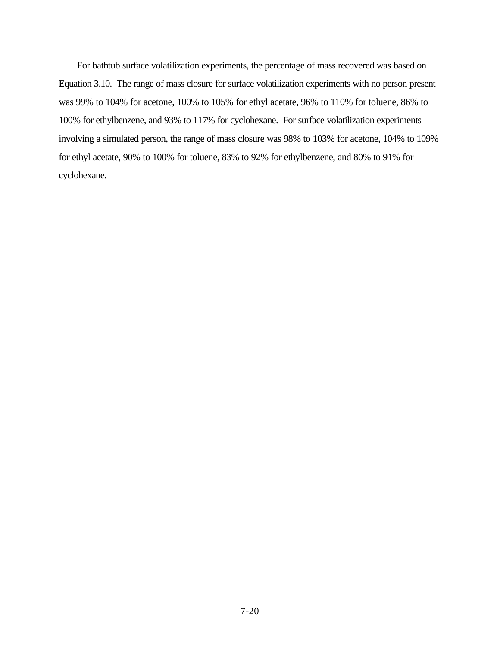For bathtub surface volatilization experiments, the percentage of mass recovered was based on Equation 3.10. The range of mass closure for surface volatilization experiments with no person present was 99% to 104% for acetone, 100% to 105% for ethyl acetate, 96% to 110% for toluene, 86% to 100% for ethylbenzene, and 93% to 117% for cyclohexane. For surface volatilization experiments involving a simulated person, the range of mass closure was 98% to 103% for acetone, 104% to 109% for ethyl acetate, 90% to 100% for toluene, 83% to 92% for ethylbenzene, and 80% to 91% for cyclohexane.